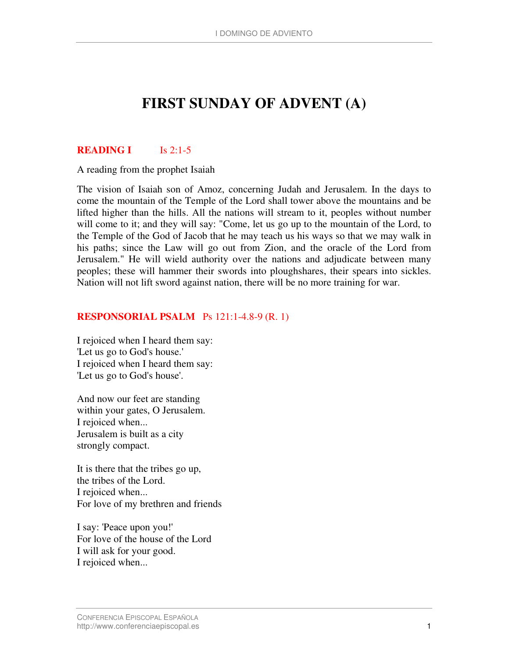# **FIRST SUNDAY OF ADVENT (A)**

# **READING I** Is 2:1-5

A reading from the prophet Isaiah

The vision of Isaiah son of Amoz, concerning Judah and Jerusalem. In the days to come the mountain of the Temple of the Lord shall tower above the mountains and be lifted higher than the hills. All the nations will stream to it, peoples without number will come to it; and they will say: "Come, let us go up to the mountain of the Lord, to the Temple of the God of Jacob that he may teach us his ways so that we may walk in his paths; since the Law will go out from Zion, and the oracle of the Lord from Jerusalem." He will wield authority over the nations and adjudicate between many peoples; these will hammer their swords into ploughshares, their spears into sickles. Nation will not lift sword against nation, there will be no more training for war.

### **RESPONSORIAL PSALM** Ps 121:1-4.8-9 (R. 1)

I rejoiced when I heard them say: 'Let us go to God's house.' I rejoiced when I heard them say: 'Let us go to God's house'.

And now our feet are standing within your gates, O Jerusalem. I rejoiced when... Jerusalem is built as a city strongly compact.

It is there that the tribes go up, the tribes of the Lord. I rejoiced when... For love of my brethren and friends

I say: 'Peace upon you!' For love of the house of the Lord I will ask for your good. I rejoiced when...